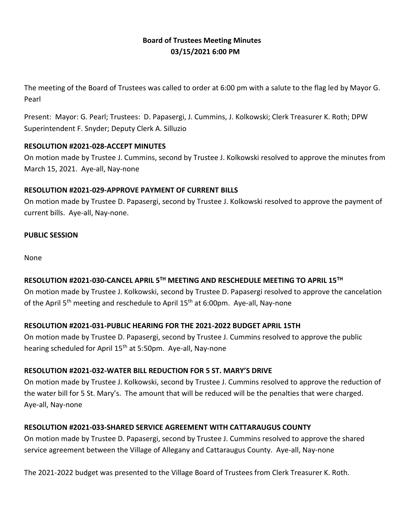# **Board of Trustees Meeting Minutes 03/15/2021 6:00 PM**

The meeting of the Board of Trustees was called to order at 6:00 pm with a salute to the flag led by Mayor G. Pearl

Present: Mayor: G. Pearl; Trustees: D. Papasergi, J. Cummins, J. Kolkowski; Clerk Treasurer K. Roth; DPW Superintendent F. Snyder; Deputy Clerk A. Silluzio

#### **RESOLUTION #2021-028-ACCEPT MINUTES**

On motion made by Trustee J. Cummins, second by Trustee J. Kolkowski resolved to approve the minutes from March 15, 2021. Aye-all, Nay-none

#### **RESOLUTION #2021-029-APPROVE PAYMENT OF CURRENT BILLS**

On motion made by Trustee D. Papasergi, second by Trustee J. Kolkowski resolved to approve the payment of current bills. Aye-all, Nay-none.

#### **PUBLIC SESSION**

None

# **RESOLUTION #2021-030-CANCEL APRIL 5TH MEETING AND RESCHEDULE MEETING TO APRIL 15TH**

On motion made by Trustee J. Kolkowski, second by Trustee D. Papasergi resolved to approve the cancelation of the April 5<sup>th</sup> meeting and reschedule to April 15<sup>th</sup> at 6:00pm. Aye-all, Nay-none

#### **RESOLUTION #2021-031-PUBLIC HEARING FOR THE 2021-2022 BUDGET APRIL 15TH**

On motion made by Trustee D. Papasergi, second by Trustee J. Cummins resolved to approve the public hearing scheduled for April 15<sup>th</sup> at 5:50pm. Aye-all, Nay-none

#### **RESOLUTION #2021-032-WATER BILL REDUCTION FOR 5 ST. MARY'S DRIVE**

On motion made by Trustee J. Kolkowski, second by Trustee J. Cummins resolved to approve the reduction of the water bill for 5 St. Mary's. The amount that will be reduced will be the penalties that were charged. Aye-all, Nay-none

#### **RESOLUTION #2021-033-SHARED SERVICE AGREEMENT WITH CATTARAUGUS COUNTY**

On motion made by Trustee D. Papasergi, second by Trustee J. Cummins resolved to approve the shared service agreement between the Village of Allegany and Cattaraugus County. Aye-all, Nay-none

The 2021-2022 budget was presented to the Village Board of Trustees from Clerk Treasurer K. Roth.